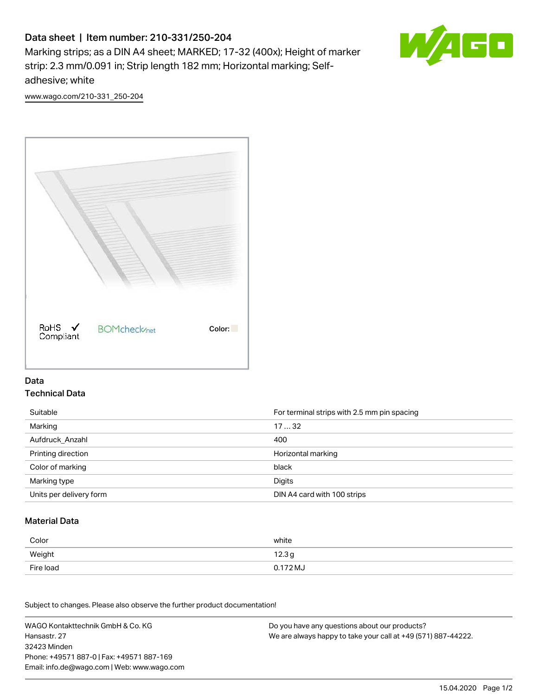# Data sheet | Item number: 210-331/250-204

Marking strips; as a DIN A4 sheet; MARKED; 17-32 (400x); Height of marker strip: 2.3 mm/0.091 in; Strip length 182 mm; Horizontal marking; Selfadhesive; white



[www.wago.com/210-331\\_250-204](http://www.wago.com/210-331_250-204)



### Data Technical Data

| Suitable                | For terminal strips with 2.5 mm pin spacing |
|-------------------------|---------------------------------------------|
| Marking                 | 1732                                        |
| Aufdruck Anzahl         | 400                                         |
| Printing direction      | Horizontal marking                          |
| Color of marking        | black                                       |
| Marking type            | Digits                                      |
| Units per delivery form | DIN A4 card with 100 strips                 |

#### Material Data

| Color     | white                       |
|-----------|-----------------------------|
| Weight    | 12.3 <sub>g</sub>           |
| Fire load | $0.172\,\mathrm{M}_{\odot}$ |

Subject to changes. Please also observe the further product documentation!

WAGO Kontakttechnik GmbH & Co. KG Hansastr. 27 32423 Minden Phone: +49571 887-0 | Fax: +49571 887-169 Email: info.de@wago.com | Web: www.wago.com Do you have any questions about our products? We are always happy to take your call at +49 (571) 887-44222.